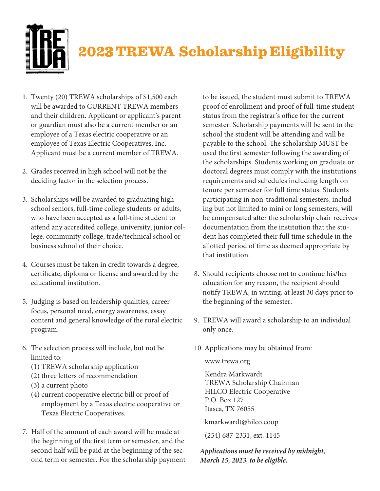

## **202**3 **TREWA Scholarship Eligibility**

- 1. Twenty (20) TREWA scholarships of \$1,500 each will be awarded to CURRENT TREWA members and their children. Applicant or applicant's parent or guardian must also be a current member or an employee of a Texas electric cooperative or an employee of Texas Electric Cooperatives, Inc. Applicant must be a current member of TREWA.
- 2. Grades received in high school will not be the deciding factor in the selection process.
- 3. Scholarships will be awarded to graduating high school seniors, full-time college students or adults, who have been accepted as a full-time student to attend any accredited college, university, junior college, community college, trade/technical school or business school of their choice.
- 4. Courses must be taken in credit towards a degree, certificate, diploma or license and awarded by the educational institution.
- 5. Judging is based on leadership qualities, career focus, personal need, energy awareness, essay content and general knowledge of the rural electric program.
- 6. The selection process will include, but not be limited to:
	- (1) TREWA scholarship application
	- (2) three letters of recommendation
	- (3) a current photo
	- (4) current cooperative electric bill or proof of employment by a Texas electric cooperative or Texas Electric Cooperatives.
- 7. Half of the amount of each award will be made at the beginning of the first term or semester, and the second half will be paid at the beginning of the second term or semester. For the scholarship payment

to be issued, the student must submit to TREWA proof of enrollment and proof of full-time student status from the registrar's office for the current semester. Scholarship payments will be sent to the school the student will be attending and will be payable to the school. The scholarship MUST be used the first semester following the awarding of the scholarships. Students working on graduate or doctoral degrees must comply with the institutions requirements and schedules including length on tenure per semester for full time status. Students participating in non-traditional semesters, including but not limited to mini or long semesters, will be compensated after the scholarship chair receives documentation from the institution that the student has completed their full time schedule in the allotted period of time as deemed appropriate by that institution.

- 8. Should recipients choose not to continue his/her education for any reason, the recipient should notify TREWA, in writing, at least 30 days prior to the beginning of the semester.
- 9. TREWA will award a scholarship to an individual only once.
- 10. Applications may be obtained from:

www.trewa.org

Kendra Markwardt TREWA Scholarship Chairman HILCO Electric Cooperative P.O. Box 127 Itasca, TX 76055

kmarkwardt@hilco.coop

(254) 687-2331, ext. 1145

*Applications must be received by midnight, March 15, 2023, to be eligible.*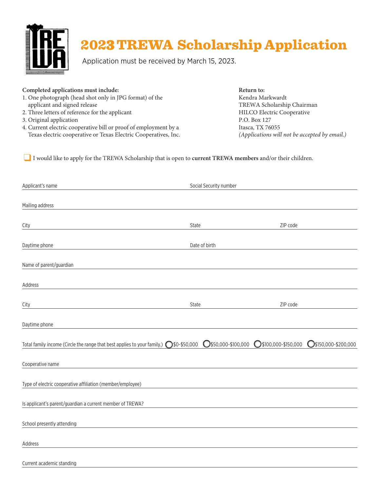

## **202**3 **TREWA Scholarship Application**

Application must be received by March 15, 2023.

| Return to:                                    |
|-----------------------------------------------|
| Kendra Markwardt                              |
| TREWA Scholarship Chairman                    |
| <b>HILCO Electric Cooperative</b>             |
| P.O. Box 127                                  |
| Itasca, TX 76055                              |
| (Applications will not be accepted by email.) |
|                                               |

❑ I would like to apply for the TREWA Scholarship that is open to **current TREWA members** and/or their children.

| Applicant's name                                                                        | Social Security number |                      |                      |
|-----------------------------------------------------------------------------------------|------------------------|----------------------|----------------------|
|                                                                                         |                        |                      |                      |
| Mailing address                                                                         |                        |                      |                      |
| City                                                                                    | State                  | ZIP code             |                      |
| Daytime phone                                                                           | Date of birth          |                      |                      |
| Name of parent/guardian                                                                 |                        |                      |                      |
|                                                                                         |                        |                      |                      |
| Address                                                                                 |                        |                      |                      |
|                                                                                         |                        |                      |                      |
| City                                                                                    | State                  | ZIP code             |                      |
| Daytime phone                                                                           |                        |                      |                      |
| Total family income (Circle the range that best applies to your family.) 0 \$0-\$50,000 | 0\$50,000-\$100,000    | ◯\$100,000-\$150,000 | 0\$150,000-\$200,000 |
|                                                                                         |                        |                      |                      |
| Cooperative name                                                                        |                        |                      |                      |
| Type of electric cooperative affiliation (member/employee)                              |                        |                      |                      |
| Is applicant's parent/guardian a current member of TREWA?                               |                        |                      |                      |
|                                                                                         |                        |                      |                      |
| School presently attending                                                              |                        |                      |                      |
| Address                                                                                 |                        |                      |                      |
| Current academic standing                                                               |                        |                      |                      |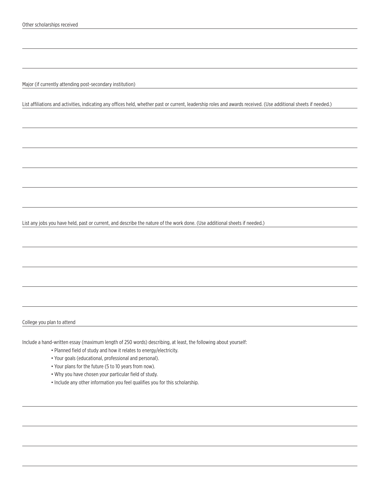Major (if currently attending post-secondary institution)

List affiliations and activities, indicating any offices held, whether past or current, leadership roles and awards received. (Use additional sheets if needed.)

List any jobs you have held, past or current, and describe the nature of the work done. (Use additional sheets if needed.)

College you plan to attend

Include a hand-written essay (maximum length of 250 words) describing, at least, the following about yourself:

- Planned field of study and how it relates to energy/electricity.
- Your goals (educational, professional and personal).
- Your plans for the future (5 to 10 years from now).
- Why you have chosen your particular field of study.
- Include any other information you feel qualifies you for this scholarship.